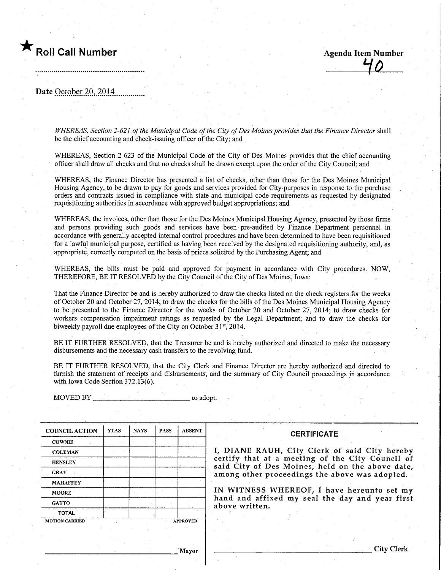

Roll Call Number<br>
Agenda Item Number<br>
40

Date October 20, 2014

WHEREAS, Section 2-621 of the Municipal Code of the City of Des Moines provides that the Finance Director shall be the chief accounting and check-issuing officer of the City; and

WHEREAS, Section 2-623 of the Municipal Code of the City of Des Moines provides that the chief accounting officer shall draw all checks and that no checks shall be drawn except upon the order of the City Council; and

WHEREAS, the Finance Director has presented a list of checks, other than those for the Des Moines Municipal Housing Agency, to be drawn, to pay for goods and services provided for City-purposes in response to the purchase orders and contracts issued in compliance with state and municipal code requirements as requested by designated requisitioning authorities in accordance with approved budget appropriations; and

WHEREAS, the invoices, other than those for the Des Moines Municipal Housing Agency, presented by those firms and persons providing such goods and services have been pre-audited by Finance Department personnel in accordance with generally accepted internal control procedures and have been determined to have been requisitioned for a lawful municipal purpose, certified as having been received by the designated requisitioning authority, and, as appropriate, correctly computed on the basis of prices solicited by the Purchasing Agent; and

WHEREAS, the bills must be paid and approved for payment in accordance with City procedures. NOW, THEREFORE, BE IT RESOLVED by the City Council of the City of Des Moines, Iowa:

That the Finance Director be and is hereby authorized to draw the checks listed on the check registers for the weeks of October 20 and October 27, 2014; to draw the checks for the bills of the Des Moines Municipal Housing Agency to be presented to the Finance Director for the weeks of October 20 and October 27, 2014; to draw checks for workers compensation impairment ratings as requested by the Legal Department; and to draw the checks for biweekly payroll due employees of the City on October 31<sup>st</sup>, 2014.

BE IT FURTHER RESOLVED, that the Treasurer be and is hereby authorized and directed to make the necessary disbursements and the necessary cash transfers to the revolving fund.

BE IT FURTHER RESOLVED, that the City Clerk and Finance Director are hereby authorized and directed to furnish the statement of receipts and disbursements, and the summary of City Council proceedings in accordance with Iowa Code Section 372.13(6).

MOVED BY to adopt.

| <b>COUNCIL ACTION</b> | <b>YEAS</b>     | <b>NAYS</b> | <b>PASS</b> | <b>ABSENT</b> |  |
|-----------------------|-----------------|-------------|-------------|---------------|--|
| <b>COWNIE</b>         |                 |             |             |               |  |
| <b>COLEMAN</b>        |                 |             |             |               |  |
| <b>HENSLEY</b>        |                 |             |             |               |  |
| <b>GRAY</b>           |                 |             |             |               |  |
| <b>MAHAFFEY</b>       |                 |             |             |               |  |
| <b>MOORE</b>          |                 |             |             |               |  |
| <b>GATTO</b>          |                 |             |             |               |  |
| <b>TOTAL</b>          |                 |             |             |               |  |
| <b>MOTION CARRIED</b> | <b>APPROVED</b> |             |             |               |  |

#### **CERTIFICATE**

I, DIANE RAUH, City Clerk of said City hereby certify that at a meeting of the City Council of said City of Des Moines, held on the above date, among other proceedings the above was adopted.

IN WITNESS WHEREOF, I have hereunto set my hand and affixed my seal the day and year first above written.

Mayor

City Clerk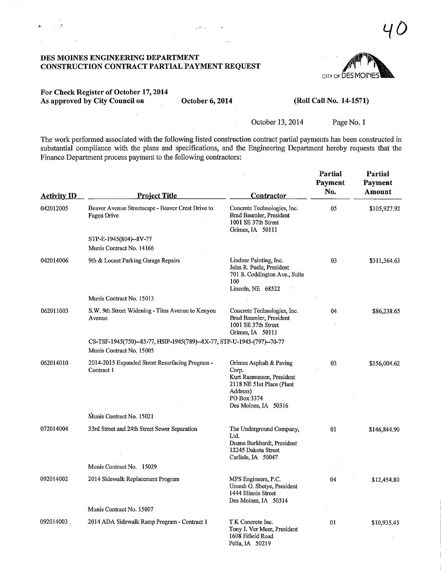DES MOINES ENGINEERING DEPARTMENT CONSTRUCTION CONTRACT PARTIAL PAYMENT REQUEST



 $40$ 

### For Check Register of October 17,2014 As approved by City Council on October 6, 2014

 $\sqrt{16}$   $\sim$ 

### (Roll Call No. 14-1571)

October 13, 2014 Page No. 1

The work performed associated with the following listed construction contract partial payments has been constructed in substantial compliance with the plans and specifications, and the Engineering Department hereby requests that the Finance Department process payment to the following contractors:

| <b>Activity ID</b> | <b>Project Title</b>                                                                                | Contractor                                                                                                                                    | Partial<br>Payment<br>No. | Partial<br>Payment<br>Amount |
|--------------------|-----------------------------------------------------------------------------------------------------|-----------------------------------------------------------------------------------------------------------------------------------------------|---------------------------|------------------------------|
| 042012005          | Beaver Avenue Streetscape - Beaver Crest Drive to<br>Fagen Drive                                    | Concrete Technologies, Inc.<br>Brad Baumler, President<br>1001 SE 37th Street<br>Grimes, IA 50111                                             | 05                        | \$105,927.92                 |
|                    | STP-E-1945(804)--8V-77<br>Munis Contract No. 14166                                                  |                                                                                                                                               |                           |                              |
| 042014006          | 9th & Locust Parking Garage Repairs                                                                 | Lindner Painting, Inc.<br>John R. Puelz, President<br>701 S. Coddington Ave., Suite<br>100<br>Lincoln, NE 68522                               | 03                        | \$311,364.63                 |
|                    | Munis Contract No. 15013                                                                            |                                                                                                                                               |                           |                              |
| 062011003          | S.W. 9th Street Widening - Titus Avenue to Kenyon<br>Avenue                                         | Concrete Technologies, Inc.<br>Brad Baumler, President<br>1001 SE 37th Street<br>Grimes, IA 50111                                             | 04                        | \$86,238.65                  |
|                    | CS-TSF-1945(750)--85-77, HSIP-1945(789)--8X-77, STP-U-1945-(797)--70-77<br>Munis Contract No. 15005 |                                                                                                                                               |                           |                              |
| 062014010          | 2014-2015 Expanded Street Resurfacing Program -<br>Contract 1                                       | Grimes Asphalt & Paving<br>Corp.<br>Kurt Rasmussen, President<br>2118 NE 51st Place (Plant<br>Address)<br>PO Box 3374<br>Des Moines, IA 50316 | 03                        | \$356,004.62                 |
|                    | Munis Contract No. 15021                                                                            |                                                                                                                                               |                           |                              |
| 072014004          | 33rd Street and 24th Street Sewer Separation                                                        | The Underground Company,<br>Ltd.<br>Duane Burkhardt, President<br>12245 Dakota Street<br>Carlisle, IA 50047                                   | 01                        | \$146,844.90                 |
|                    | Munis Contract No. 15029                                                                            |                                                                                                                                               |                           |                              |
| 092014002          | 2014 Sidewalk Replacement Program                                                                   | MPS Engineers, P.C.<br>Umesh G. Shetye, President<br>1444 Illinois Street<br>Des Moines, IA 50314                                             | 04                        | \$12,454.80                  |
|                    | Munis Contract No. 15007                                                                            |                                                                                                                                               |                           |                              |
| 092014003          | 2014 ADA Sidewalk Ramp Program - Contract 1                                                         | T K Concrete Inc.<br>Tony J. Ver Meer, President<br>1608 Fifield Road<br>Pella, IA 50219                                                      | 01                        | \$10,935.45                  |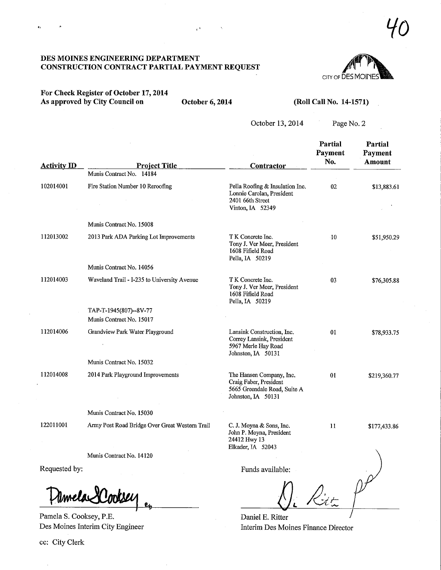### DES MOINES ENGINEERING DEPARTMENT CONSTRUCTION CONTRACT PARTIAL PAYMENT REQUEST

## For Check Register of October 17,2014 As approved by City Council on October 6, 2014

 $\mathbf{r}$ 

 $\mathcal{O}$ 

 $\bar{\mathbf{y}}$ 

### (Roll Call No. 14-1571)

October 13, 2014

Page No. 2

CITY OF DES MOI

| <b>Activity ID</b> | <b>Project Title</b>                               | <b>Contractor</b>                                                                                        | Partial<br>Payment<br>No. | <b>Partial</b><br>Payment<br>Amount |
|--------------------|----------------------------------------------------|----------------------------------------------------------------------------------------------------------|---------------------------|-------------------------------------|
|                    | Munis Contract No. 14184                           |                                                                                                          |                           |                                     |
| 102014001          | Fire Station Number 10 Reroofing                   | Pella Roofing & Insulation Inc.<br>Lonnie Carolan, President<br>2401 66th Street<br>Vinton, IA 52349     | 02                        | \$13,883.61                         |
|                    | Munis Contract No. 15008                           |                                                                                                          |                           |                                     |
| 112013002          | 2013 Park ADA Parking Lot Improvements             | T K Concrete Inc.<br>Tony J. Ver Meer, President<br>1608 Fifield Road<br>Pella, IA 50219                 | $\cdot$ 10                | \$51,950.29                         |
|                    | Munis Contract No. 14056                           |                                                                                                          |                           |                                     |
| 112014003          | Waveland Trail - I-235 to University Avenue        | T K Concrete Inc.<br>Tony J. Ver Meer, President<br>1608 Fifield Road<br>Pella, IA 50219                 | 03                        | \$76,305.88                         |
|                    | TAP-T-1945(807)--8V-77<br>Munis Contract No. 15017 |                                                                                                          |                           |                                     |
| 112014006          | Grandview Park Water Playground                    | Lansink Construction, Inc.<br>Correy Lansink, President<br>5967 Merle Hay Road<br>Johnston, IA 50131     | 01                        | \$78,933.75                         |
|                    | Munis Contract No. 15032                           |                                                                                                          |                           |                                     |
| 112014008          | 2014 Park Playground Improvements                  | The Hansen Company, Inc.<br>Craig Faber, President<br>5665 Greendale Road, Suite A<br>Johnston, IA 50131 | 01                        | \$219,360.77                        |
|                    | Munis Contract No. 15030                           |                                                                                                          |                           |                                     |
| 122011001          | Army Post Road Bridge Over Great Western Trail     | C. J. Moyna & Sons, Inc.<br>John P. Moyna, President<br>24412 Hwy 13<br>Elkader, IA 52043                | 11                        | \$177,433.86                        |
|                    | Munis Contract No. 14120                           |                                                                                                          |                           |                                     |
| Requested by:      |                                                    | Funds available:                                                                                         |                           |                                     |
|                    | Umela 2 Cooksei                                    |                                                                                                          |                           |                                     |

Daniel E. Ritter

Interim Des Moines Finance Director

Pamela S. Cooksey, P.E. Des Moines Interim City Engineer

ec: City Clerk

 $\bar{z}$ 

Yo